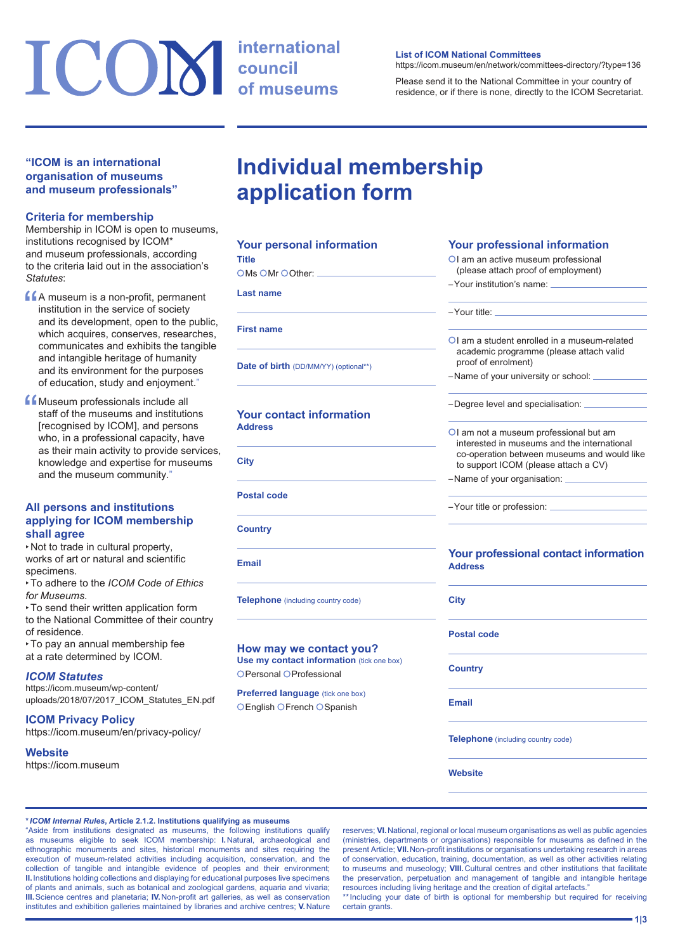# ICOM international

#### **"ICOM is an international organisation of museums and museum professionals"**

#### **Criteria for membership**

Membership in ICOM is open to museums, institutions recognised by ICOM\* and museum professionals, according to the criteria laid out in the association's *Statutes*:

- **CA** museum is a non-profit, permanent<br>
institution in the service of society<br>
and its development, open to the pub<br>
which services institution in the service of society and its development, open to the public, which acquires, conserves, researches, communicates and exhibits the tangible and intangible heritage of humanity and its environment for the purposes of education, study and enjoyment."
- **f** Museum professionals include all<br>staff of the museums and institution<br>[recognised by ICOM], and person staff of the museums and institutions [recognised by ICOM], and persons who, in a professional capacity, have as their main activity to provide services, knowledge and expertise for museums and the museum community."

#### **All persons and institutions applying for ICOM membership shall agree**

‣Not to trade in cultural property, works of art or natural and scientific specimens.

‣To adhere to the *ICOM Code of Ethics for Museums*.

‣To send their written application form to the National Committee of their country of residence.

‣To pay an annual membership fee at a rate determined by ICOM.

#### *ICOM Statutes*

[https://icom.museum/wp-content/](https://icom.museum/wp-content/uploads/2018/07/2017_ICOM_Statutes_EN.pdf) [uploads/2018/07/2017\\_ICOM\\_Statutes\\_EN.pdf](https://icom.museum/wp-content/uploads/2018/07/2017_ICOM_Statutes_EN.pdf)

**ICOM Privacy Policy** <https://icom.museum/en/privacy-policy/>

#### **Website**

<https://icom.museum>

#### **List of ICOM National Committees**

<https://icom.museum/en/network/committees-directory/?type=136>

Please send it to the National Committee in your country of residence, or if there is none, directly to the ICOM Secretariat.

## **Individual membership application form**

| <b>Your personal information</b>                     |  |
|------------------------------------------------------|--|
| Title                                                |  |
| $\bigcirc$ Ms $\bigcirc$ Mr $\bigcirc$ Other: $\_\_$ |  |
| Last name                                            |  |
| <b>First name</b>                                    |  |
| <b>Date of birth</b> (DD/MM/YY) (optional**)         |  |

**Your contact information Address**

**City**

**Title**

 $\epsilon$ 

**Postal code**

**Country**

**Email**

**Telephone** (including country code)

#### **How may we contact you?**

**Use my contact information** (tick one box) OPersonal OProfessional

#### **Preferred language** (tick one box) OEnglish OFrench OSpanish

#### **Your professional information**

- OI am an active museum professional (please attach proof of employment)
- –Your institution's name:

### –Your title: I am a student enrolled in a museum-related academic programme (please attach valid proof of enrolment) –Name of your university or school: –Degree level and specialisation: OI am not a museum professional but am

- interested in museums and the international co-operation between museums and would like to support ICOM (please attach a CV)
- –Name of your organisation:

–Your title or profession:

#### **Your professional contact information Address**

**Postal code**

**Country**

**City**

**Email**

**Telephone** (including country code)

**Website**

#### **\****ICOM Internal Rules***, Article 2.1.2. Institutions qualifying as museums**

"Aside from institutions designated as museums, the following institutions qualify as museums eligible to seek ICOM membership: **I.**Natural, archaeological and ethnographic monuments and sites, historical monuments and sites requiring the execution of museum-related activities including acquisition, conservation, and the collection of tangible and intangible evidence of peoples and their environment; **II.**Institutions holding collections and displaying for educational purposes live specimens of plants and animals, such as botanical and zoological gardens, aquaria and vivaria; **III.**Science centres and planetaria; **IV.**Non-profit art galleries, as well as conservation institutes and exhibition galleries maintained by libraries and archive centres; **V.**Nature

reserves; **VI.**National, regional or local museum organisations as well as public agencies (ministries, departments or organisations) responsible for museums as defined in the present Article; **VII.**Non-profit institutions or organisations undertaking research in areas of conservation, education, training, documentation, as well as other activities relating to museums and museology; **VIII.**Cultural centres and other institutions that facilitate the preservation, perpetuation and management of tangible and intangible heritage resources including living heritage and the creation of digital artefacts."

\*\*Including your date of birth is optional for membership but required for receiving certain grants.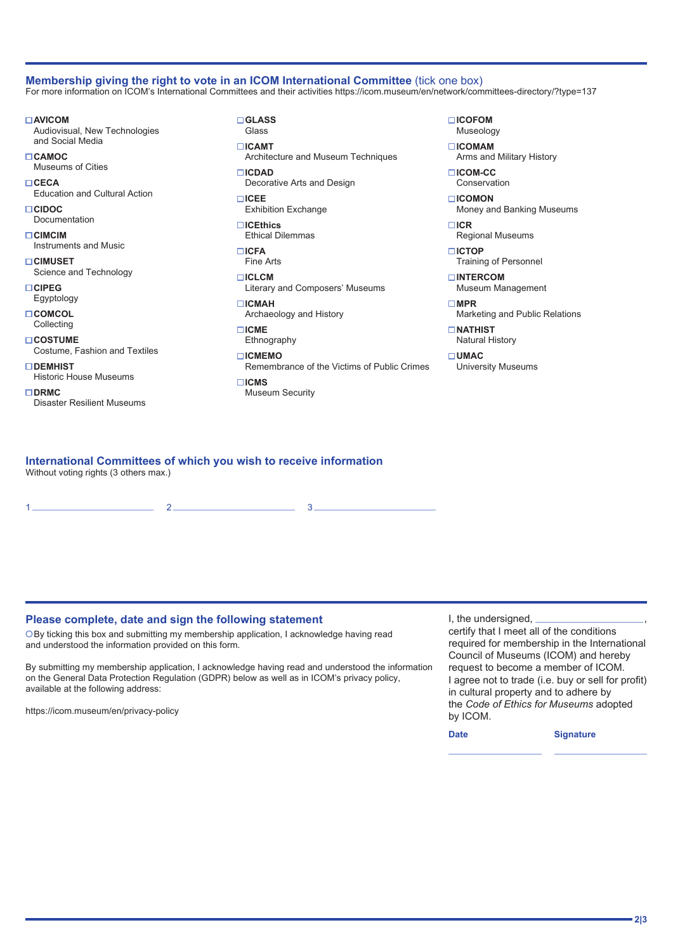#### **Membership giving the right to vote in an ICOM International Committee** (tick one box) For more information on ICOM's International Committees and their activities <https://icom.museum/en/network/committees-directory/?type=137>

**AVICOM**  Audiovisual, New Technologies and Social Media

- **CAMOC**  Museums of Cities **CECA**
- Education and Cultural Action **CIDOC**
- Documentation
- **CIMCIM**  Instruments and Music

**CIMUSET**  Science and Technology

- **CIPEG**  Egyptology
- **COMCOL**
- **Collecting**

**COSTUME**  Costume, Fashion and Textiles

- **DEMHIST**  Historic House Museums
- **DRMC**  Disaster Resilient Museums

**GLASS**  Glass

**ICAMT**  Architecture and Museum Techniques **ICDAD**  Decorative Arts and Design

**ICEE**  Exhibition Exchange

**ICEthics**  Ethical Dilemmas **ICFA** 

Fine Arts

**ICLCM**  Literary and Composers' Museums

- **ICMAH**  Archaeology and History
- **ICME**  Ethnography
- **ICMEMO**

 Remembrance of the Victims of Public Crimes **ICMS**  Museum Security

**ICOFOM**  Museology

**ICOMAM**  Arms and Military History

**ICOM-CC**  Conservation

- **ICOMON**  Money and Banking Museums
- **ICR**  Regional Museums
- **ICTOP**  Training of Personnel
- **INTERCOM**  Museum Management

University Museums

- **MPR**  Marketing and Public Relations
- **NATHIST** Natural History

**UMAC** 

#### **International Committees of which you wish to receive information** Without voting rights (3 others max.)

1 2 3

#### **Please complete, date and sign the following statement**

By ticking this box and submitting my membership application, I acknowledge having read and understood the information provided on this form.

By submitting my membership application, I acknowledge having read and understood the information on the General Data Protection Regulation (GDPR) below as well as in ICOM's privacy policy, available at the following address:

<https://icom.museum/en/privacy-policy>

I, the undersigned,

certify that I meet all of the conditions required for membership in the International Council of Museums (ICOM) and hereby request to become a member of ICOM. I agree not to trade (i.e. buy or sell for profit) in cultural property and to adhere by the *Code of Ethics for Museums* adopted by ICOM.

**Date Signature**